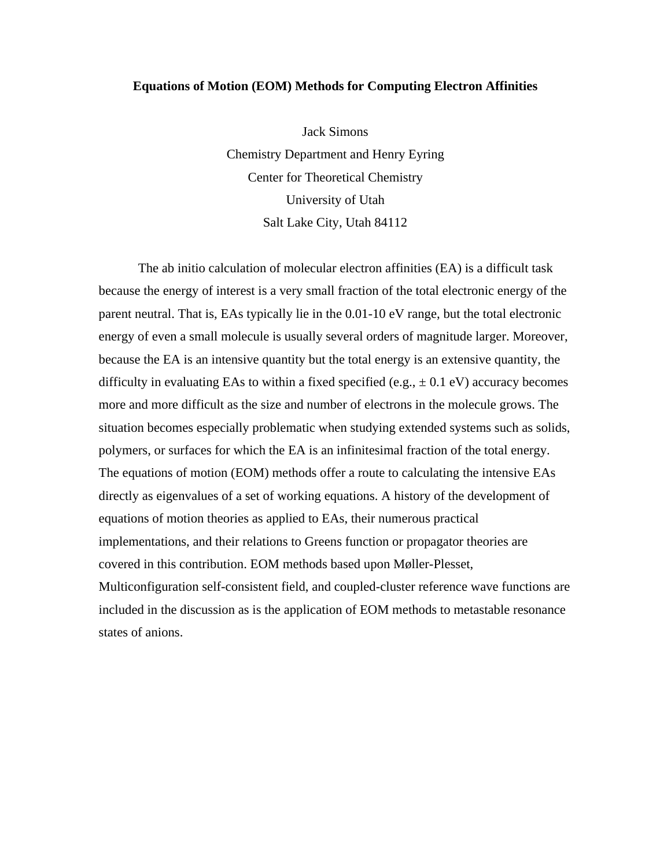### **Equations of Motion (EOM) Methods for Computing Electron Affinities**

Jack Simons Chemistry Department and Henry Eyring Center for Theoretical Chemistry University of Utah Salt Lake City, Utah 84112

The ab initio calculation of molecular electron affinities (EA) is a difficult task because the energy of interest is a very small fraction of the total electronic energy of the parent neutral. That is, EAs typically lie in the 0.01-10 eV range, but the total electronic energy of even a small molecule is usually several orders of magnitude larger. Moreover, because the EA is an intensive quantity but the total energy is an extensive quantity, the difficulty in evaluating EAs to within a fixed specified (e.g.,  $\pm$  0.1 eV) accuracy becomes more and more difficult as the size and number of electrons in the molecule grows. The situation becomes especially problematic when studying extended systems such as solids, polymers, or surfaces for which the EA is an infinitesimal fraction of the total energy. The equations of motion (EOM) methods offer a route to calculating the intensive EAs directly as eigenvalues of a set of working equations. A history of the development of equations of motion theories as applied to EAs, their numerous practical implementations, and their relations to Greens function or propagator theories are covered in this contribution. EOM methods based upon Møller-Plesset, Multiconfiguration self-consistent field, and coupled-cluster reference wave functions are included in the discussion as is the application of EOM methods to metastable resonance states of anions.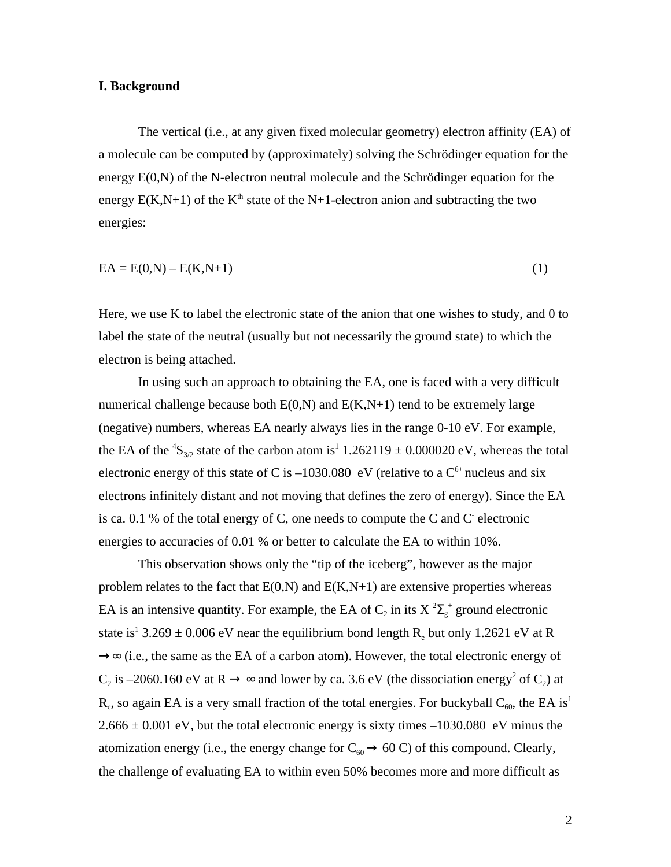### **I. Background**

The vertical (i.e., at any given fixed molecular geometry) electron affinity (EA) of a molecule can be computed by (approximately) solving the Schrödinger equation for the energy E(0,N) of the N-electron neutral molecule and the Schrödinger equation for the energy  $E(K,N+1)$  of the  $K<sup>th</sup>$  state of the N+1-electron anion and subtracting the two energies:

$$
EA = E(0,N) - E(K,N+1)
$$
\n<sup>(1)</sup>

Here, we use K to label the electronic state of the anion that one wishes to study, and 0 to label the state of the neutral (usually but not necessarily the ground state) to which the electron is being attached.

In using such an approach to obtaining the EA, one is faced with a very difficult numerical challenge because both  $E(0,N)$  and  $E(K,N+1)$  tend to be extremely large (negative) numbers, whereas EA nearly always lies in the range 0-10 eV. For example, the EA of the <sup>4</sup>S<sub>3/2</sub> state of the carbon atom is<sup>1</sup> 1.262119  $\pm$  0.000020 eV, whereas the total electronic energy of this state of C is  $-1030.080$  eV (relative to a  $C^{6+}$  nucleus and six electrons infinitely distant and not moving that defines the zero of energy). Since the EA is ca. 0.1 % of the total energy of C, one needs to compute the C and C electronic energies to accuracies of 0.01 % or better to calculate the EA to within 10%.

This observation shows only the "tip of the iceberg", however as the major problem relates to the fact that  $E(0,N)$  and  $E(K,N+1)$  are extensive properties whereas EA is an intensive quantity. For example, the EA of  $C_2$  in its X<sup>2</sup>  $\frac{1}{g}$  ground electronic state is<sup>1</sup> 3.269  $\pm$  0.006 eV near the equilibrium bond length R<sub>e</sub> but only 1.2621 eV at R

(i.e., the same as the EA of a carbon atom). However, the total electronic energy of  $C_2$  is -2060.160 eV at R is -2060.160 eV at R and lower by ca. 3.6 eV (the dissociation energy<sup>2</sup> of  $C_2$ ) at  $R_e$ , so again EA is a very small fraction of the total energies. For buckyball  $C_{60}$ , the EA is<sup>1</sup>  $2.666 \pm 0.001$  eV, but the total electronic energy is sixty times  $-1030.080$  eV minus the atomization energy (i.e., the energy change for  $C_{60}$  60 C) of this compound. Clearly, the challenge of evaluating EA to within even 50% becomes more and more difficult as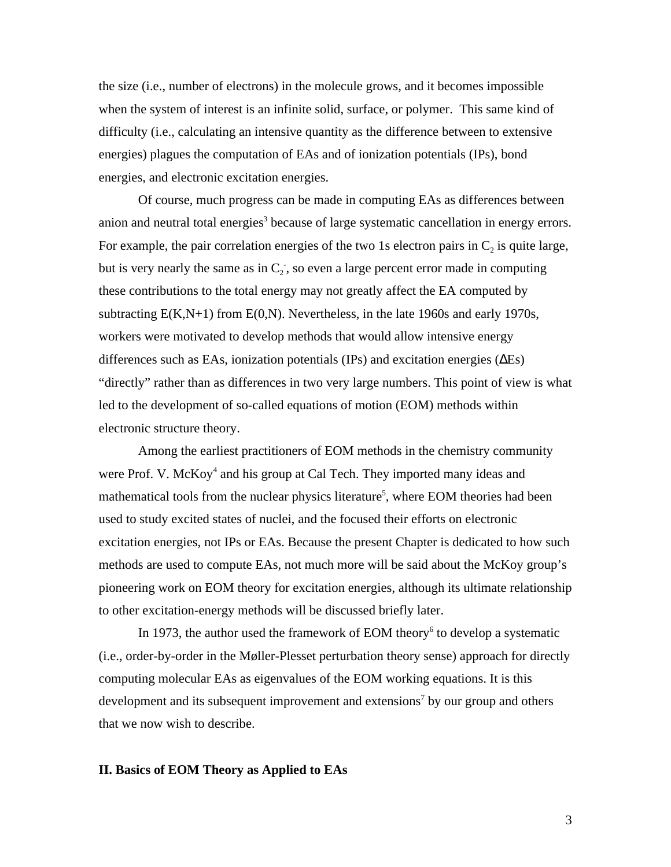the size (i.e., number of electrons) in the molecule grows, and it becomes impossible when the system of interest is an infinite solid, surface, or polymer. This same kind of difficulty (i.e., calculating an intensive quantity as the difference between to extensive energies) plagues the computation of EAs and of ionization potentials (IPs), bond energies, and electronic excitation energies.

Of course, much progress can be made in computing EAs as differences between anion and neutral total energies<sup>3</sup> because of large systematic cancellation in energy errors. For example, the pair correlation energies of the two 1s electron pairs in  $C_2$  is quite large, but is very nearly the same as in  $C_2$ , so even a large percent error made in computing these contributions to the total energy may not greatly affect the EA computed by subtracting  $E(K,N+1)$  from  $E(0,N)$ . Nevertheless, in the late 1960s and early 1970s, workers were motivated to develop methods that would allow intensive energy differences such as EAs, ionization potentials (IPs) and excitation energies ( Es) "directly" rather than as differences in two very large numbers. This point of view is what led to the development of so-called equations of motion (EOM) methods within electronic structure theory.

Among the earliest practitioners of EOM methods in the chemistry community were Prof. V. McKoy<sup>4</sup> and his group at Cal Tech. They imported many ideas and mathematical tools from the nuclear physics literature<sup>5</sup>, where EOM theories had been used to study excited states of nuclei, and the focused their efforts on electronic excitation energies, not IPs or EAs. Because the present Chapter is dedicated to how such methods are used to compute EAs, not much more will be said about the McKoy group's pioneering work on EOM theory for excitation energies, although its ultimate relationship to other excitation-energy methods will be discussed briefly later.

In 1973, the author used the framework of EOM theory<sup>6</sup> to develop a systematic (i.e., order-by-order in the Møller-Plesset perturbation theory sense) approach for directly computing molecular EAs as eigenvalues of the EOM working equations. It is this development and its subsequent improvement and extensions<sup>7</sup> by our group and others that we now wish to describe.

## **II. Basics of EOM Theory as Applied to EAs**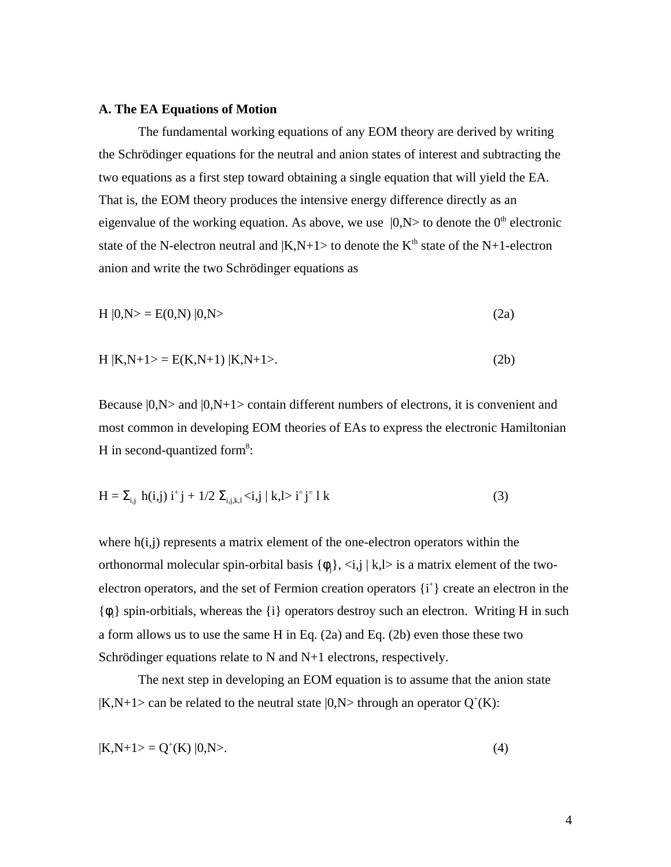#### **A. The EA Equations of Motion**

The fundamental working equations of any EOM theory are derived by writing the Schrödinger equations for the neutral and anion states of interest and subtracting the two equations as a first step toward obtaining a single equation that will yield the EA. That is, the EOM theory produces the intensive energy difference directly as an eigenvalue of the working equation. As above, we use  $|0, N\rangle$  to denote the  $0<sup>th</sup>$  electronic state of the N-electron neutral and  $|K,N+1\rangle$  to denote the  $K<sup>th</sup>$  state of the N+1-electron anion and write the two Schrödinger equations as

$$
H |0,N\rangle = E(0,N) |0,N\rangle
$$
 (2a)

$$
H | K, N+1 \rangle = E(K, N+1) | K, N+1 \rangle. \tag{2b}
$$

Because  $|0, N\rangle$  and  $|0, N+1\rangle$  contain different numbers of electrons, it is convenient and most common in developing EOM theories of EAs to express the electronic Hamiltonian H in second-quantized form<sup>8</sup>:

$$
H = i_{i,j} h(i,j) i^{+} j + 1/2 \quad i_{j,k,l} < i,j \mid k,l > i^{-} j^{-} 1 k \tag{3}
$$

where  $h(i,j)$  represents a matrix element of the one-electron operators within the orthonormal molecular spin-orbital basis  $\{\,j\},\langle i,j \mid k,l\rangle$  is a matrix element of the twoelectron operators, and the set of Fermion creation operators  $\{i^+\}$  create an electron in the  $\{\cdot\}$  spin-orbitials, whereas the  $\{i\}$  operators destroy such an electron. Writing H in such a form allows us to use the same H in Eq. (2a) and Eq. (2b) even those these two Schrödinger equations relate to N and N+1 electrons, respectively.

The next step in developing an EOM equation is to assume that the anion state  $|K,N+1\rangle$  can be related to the neutral state  $|0,N\rangle$  through an operator  $Q^+(K)$ :

$$
|K, N+1\rangle = Q^+(K) |0,N\rangle. \tag{4}
$$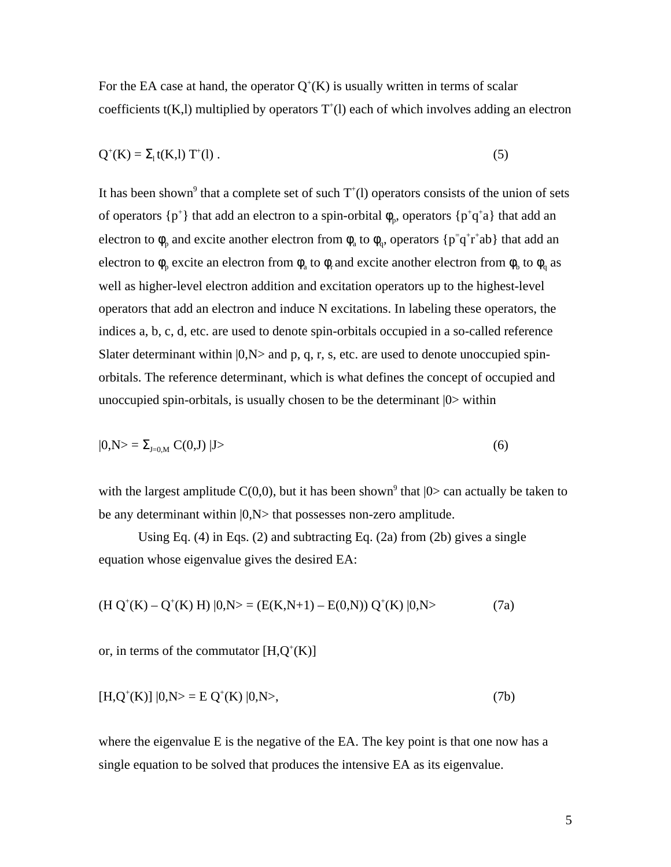For the EA case at hand, the operator  $Q^+(K)$  is usually written in terms of scalar coefficients  $t(K, l)$  multiplied by operators  $T<sup>+</sup>(l)$  each of which involves adding an electron

$$
Q^{+}(K) = {}_{1}t(K,1) T^{+}(1) . \tag{5}
$$

It has been shown<sup>9</sup> that a complete set of such  $T^{\dagger}(l)$  operators consists of the union of sets of operators  $\{p^+\}$  that add an electron to a spin-orbital p, operators  $\{p^+q^+a\}$  that add an electron to  $\beta$  and excite another electron from  $\alpha$  to  $\beta$  operators  $\{p^{\dagger}q^{\dagger}r^{\dagger}ab\}$  that add an electron to  $\sigma_p$  excite an electron from  $\sigma_a$  to  $\sigma_r$  and excite another electron from  $\sigma_b$  to  $\sigma_q$  as well as higher-level electron addition and excitation operators up to the highest-level operators that add an electron and induce N excitations. In labeling these operators, the indices a, b, c, d, etc. are used to denote spin-orbitals occupied in a so-called reference Slater determinant within  $|0, N\rangle$  and p, q, r, s, etc. are used to denote unoccupied spinorbitals. The reference determinant, which is what defines the concept of occupied and unoccupied spin-orbitals, is usually chosen to be the determinant |0> within

$$
|0,N\rangle = \sum_{J=0,M} C(0,J) |J\rangle \tag{6}
$$

with the largest amplitude  $C(0,0)$ , but it has been shown<sup>9</sup> that  $|0\rangle$  can actually be taken to be any determinant within  $|0, N\rangle$  that possesses non-zero amplitude.

Using Eq.  $(4)$  in Eqs.  $(2)$  and subtracting Eq.  $(2a)$  from  $(2b)$  gives a single equation whose eigenvalue gives the desired EA:

$$
(H Q+(K) – Q+(K) H) |0,N> = (E(K,N+1) – E(0,N)) Q+(K) |0,N> \tag{7a}
$$

or, in terms of the commutator  $[H,Q^+(K)]$ 

$$
[H, Q^{+}(K)] |0, N> = E Q^{+}(K) |0, N>, \qquad (7b)
$$

where the eigenvalue E is the negative of the EA. The key point is that one now has a single equation to be solved that produces the intensive EA as its eigenvalue.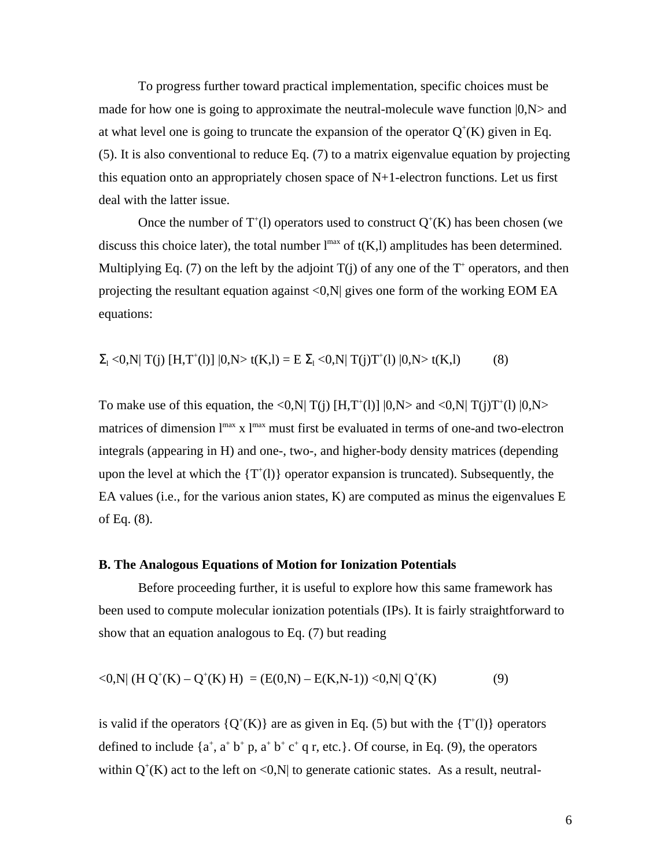To progress further toward practical implementation, specific choices must be made for how one is going to approximate the neutral-molecule wave function  $|0, N\rangle$  and at what level one is going to truncate the expansion of the operator  $Q^+(K)$  given in Eq. (5). It is also conventional to reduce Eq. (7) to a matrix eigenvalue equation by projecting this equation onto an appropriately chosen space of  $N+1$ -electron functions. Let us first deal with the latter issue.

Once the number of  $T^{\dagger}$ (1) operators used to construct  $Q^{\dagger}$ (K) has been chosen (we discuss this choice later), the total number  $l^{max}$  of  $t(K, l)$  amplitudes has been determined. Multiplying Eq. (7) on the left by the adjoint  $T(j)$  of any one of the  $T^+$  operators, and then projecting the resultant equation against <0,N| gives one form of the working EOM EA equations:

$$
{}_{1}<0,N|T(j) [H,T^{+}(l)] |0,N> t(K,l) = E \quad {}_{1}<0,N|T(j)T^{+}(l) |0,N> t(K,l)
$$
 (8)

To make use of this equation, the <0,N| T(j)  $[H, T<sup>+</sup>(1)]$   $(0, N>$  and <0,N| T(j)T<sup>+</sup>(l)  $(0, N>$ matrices of dimension  $l^{max}$  x  $l^{max}$  must first be evaluated in terms of one-and two-electron integrals (appearing in H) and one-, two-, and higher-body density matrices (depending upon the level at which the  $\{T^{\dagger}(l)\}$  operator expansion is truncated). Subsequently, the EA values (i.e., for the various anion states, K) are computed as minus the eigenvalues E of Eq. (8).

#### **B. The Analogous Equations of Motion for Ionization Potentials**

Before proceeding further, it is useful to explore how this same framework has been used to compute molecular ionization potentials (IPs). It is fairly straightforward to show that an equation analogous to Eq. (7) but reading

$$
\langle 0, N | (H Q^+(K) - Q^+(K) H) = (E(0,N) - E(K,N-1)) \langle 0, N | Q^+(K) \rangle \tag{9}
$$

is valid if the operators  ${Q^+(K)}$  are as given in Eq. (5) but with the  ${T^+(l)}$  operators defined to include  $\{a^+, a^+b^+p, a^+b^+c^+q \}$ , etc.}. Of course, in Eq. (9), the operators within  $Q^+(K)$  act to the left on <0,N| to generate cationic states. As a result, neutral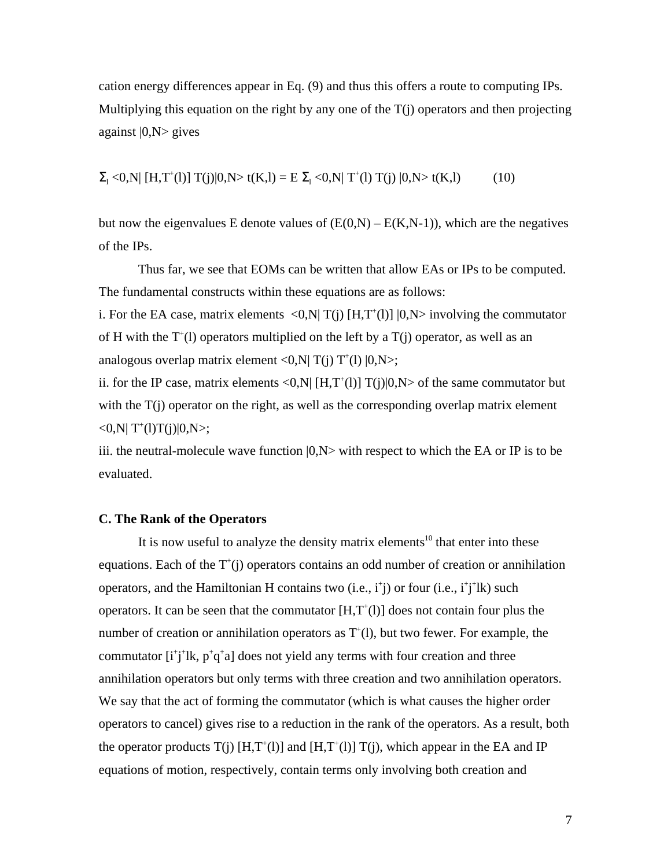cation energy differences appear in Eq. (9) and thus this offers a route to computing IPs. Multiplying this equation on the right by any one of the  $T(i)$  operators and then projecting against  $|0, N>$  gives

 $\mathcal{L}_1$  <0,N| [H,T<sup>+</sup>(l)] T(j)|0,N> t(K,l) = E  $\mathcal{L}_1$  <0,N| T<sup>+</sup>(l) T(j) |0,N> t(K,l) (10)

but now the eigenvalues E denote values of  $(E(0,N) - E(K,N-1))$ , which are the negatives of the IPs.

Thus far, we see that EOMs can be written that allow EAs or IPs to be computed. The fundamental constructs within these equations are as follows:

i. For the EA case, matrix elements  $\langle 0, N | T(j) | H, T^+(l) | 0, N \rangle$  involving the commutator of H with the  $T^{\dagger}$ (1) operators multiplied on the left by a  $T(j)$  operator, as well as an analogous overlap matrix element <0,N| T(j) T<sup>+</sup>(l)  $|0, N>$ ;

ii. for the IP case, matrix elements <0,N| [H,T<sup>+</sup>(1)] T(j)|0,N> of the same commutator but with the  $T(i)$  operator on the right, as well as the corresponding overlap matrix element  $\langle 0, N | T^{(1)}(I) T(j) | 0, N \rangle;$ 

iii. the neutral-molecule wave function  $|0, N\rangle$  with respect to which the EA or IP is to be evaluated.

### **C. The Rank of the Operators**

It is now useful to analyze the density matrix elements<sup>10</sup> that enter into these equations. Each of the  $T^+(j)$  operators contains an odd number of creation or annihilation operators, and the Hamiltonian H contains two  $(i.e., i<sup>+</sup>j)$  or four  $(i.e., i<sup>+</sup>j<sup>+</sup>lk)$  such operators. It can be seen that the commutator  $[H, T<sup>+</sup>(1)]$  does not contain four plus the number of creation or annihilation operators as  $T<sup>+</sup>(1)$ , but two fewer. For example, the commutator  $[i^+j^+lk, p^+q^+a]$  does not yield any terms with four creation and three annihilation operators but only terms with three creation and two annihilation operators. We say that the act of forming the commutator (which is what causes the higher order operators to cancel) gives rise to a reduction in the rank of the operators. As a result, both the operator products  $T(j)$  [H,T<sup>+</sup>(1)] and [H,T<sup>+</sup>(1)]  $T(j)$ , which appear in the EA and IP equations of motion, respectively, contain terms only involving both creation and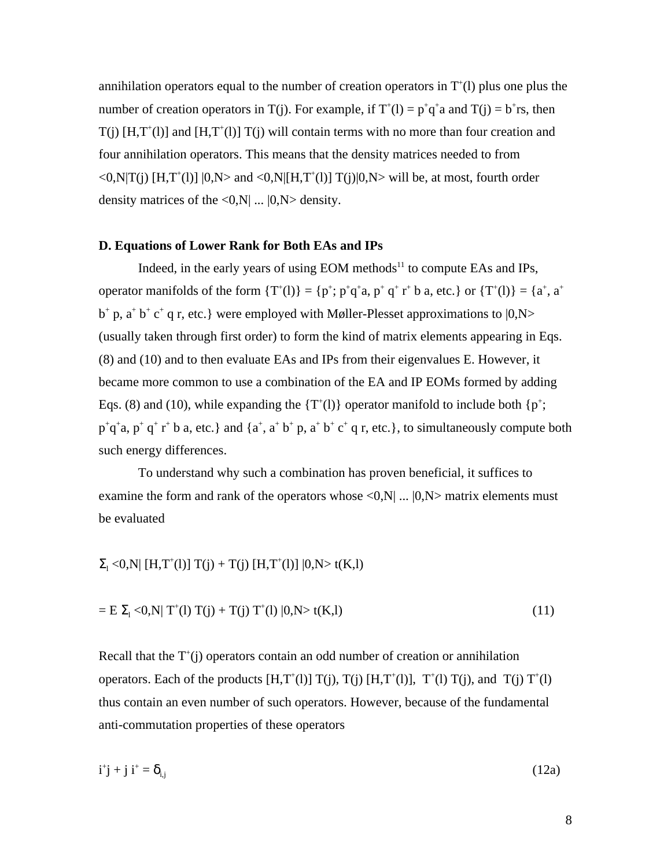annihilation operators equal to the number of creation operators in  $T^{\dagger}(l)$  plus one plus the number of creation operators in T(j). For example, if  $T<sup>+</sup>(1) = p<sup>+</sup>q<sup>+</sup>a$  and T(j) =  $b<sup>+</sup>rs$ , then  $T(j)$  [H,T<sup>+</sup>(1)] and [H,T<sup>+</sup>(1)] T(j) will contain terms with no more than four creation and four annihilation operators. This means that the density matrices needed to from  $\langle 0, N|T(j)$  [H,T<sup>+</sup>(l)]  $|0, N>$  and  $\langle 0, N|$ [H,T<sup>+</sup>(l)] T(j)|0,N> will be, at most, fourth order density matrices of the  $\langle 0,N|$  ...  $|0,N\rangle$  density.

### **D. Equations of Lower Rank for Both EAs and IPs**

Indeed, in the early years of using EOM methods $11$  to compute EAs and IPs, operator manifolds of the form {T<sup>+</sup> (l)} = {p<sup>+</sup> ; p<sup>+</sup> q + a, p<sup>+</sup> q+ r+ b a, etc.} or {T<sup>+</sup> (l)} = {a<sup>+</sup> , a<sup>+</sup>  $b^+$  p,  $a^+b^+c^+$  q r, etc.} were employed with Møller-Plesset approximations to  $|0, N \rangle$ (usually taken through first order) to form the kind of matrix elements appearing in Eqs. (8) and (10) and to then evaluate EAs and IPs from their eigenvalues E. However, it became more common to use a combination of the EA and IP EOMs formed by adding Eqs. (8) and (10), while expanding the  $\{T^+(l)\}$  operator manifold to include both  $\{p^+\}$ ;  $p^+q^+a$ ,  $p^+q^+r^+b$  a, etc.} and  $\{a^+, a^+b^+p, a^+b^+c^+q$  r, etc.}, to simultaneously compute both such energy differences.

To understand why such a combination has proven beneficial, it suffices to examine the form and rank of the operators whose  $\langle 0,N | ... | 0,N \rangle$  matrix elements must be evaluated

$$
_{1}<0,N|\;[H,T^{+}(l)]\;T(j)+T(j)\;[H,T^{+}(l)]\;|0,N> t(K,l)
$$

$$
= E_{1} < 0, N| T^{+}(1) T(j) + T(j) T^{+}(1) |0, N> t(K, l)
$$
\n(11)

Recall that the  $T^+(j)$  operators contain an odd number of creation or annihilation operators. Each of the products  $[H, T^*(1)] T(j)$ ,  $T(j) [H, T^*(1)]$ ,  $T^*(1) T(j)$ , and  $T(j) T^*(1)$ thus contain an even number of such operators. However, because of the fundamental anti-commutation properties of these operators

$$
\mathbf{i}^{\dagger}\mathbf{j} + \mathbf{j}\mathbf{i}^{\dagger} = \mathbf{i}_{\mathbf{j}} \tag{12a}
$$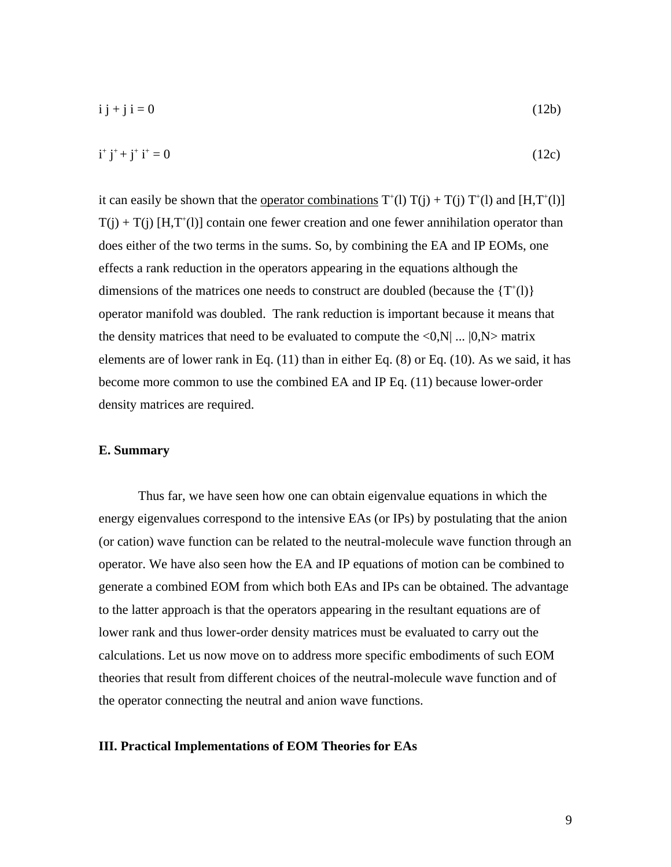$$
i j + j i = 0 \tag{12b}
$$

$$
i^+ j^+ + j^+ i^+ = 0 \tag{12c}
$$

it can easily be shown that the <u>operator combinations</u>  $T^{\dagger}(l) T(j) + T(j) T^{\dagger}(l)$  and  $[H, T^{\dagger}(l)]$  $T(j) + T(j)$  [H,T<sup>+</sup>(l)] contain one fewer creation and one fewer annihilation operator than does either of the two terms in the sums. So, by combining the EA and IP EOMs, one effects a rank reduction in the operators appearing in the equations although the dimensions of the matrices one needs to construct are doubled (because the  $\{T^+(l)\}$ ) operator manifold was doubled. The rank reduction is important because it means that the density matrices that need to be evaluated to compute the  $\langle 0,N | ... | 0,N \rangle$  matrix elements are of lower rank in Eq. (11) than in either Eq. (8) or Eq. (10). As we said, it has become more common to use the combined EA and IP Eq. (11) because lower-order density matrices are required.

## **E. Summary**

Thus far, we have seen how one can obtain eigenvalue equations in which the energy eigenvalues correspond to the intensive EAs (or IPs) by postulating that the anion (or cation) wave function can be related to the neutral-molecule wave function through an operator. We have also seen how the EA and IP equations of motion can be combined to generate a combined EOM from which both EAs and IPs can be obtained. The advantage to the latter approach is that the operators appearing in the resultant equations are of lower rank and thus lower-order density matrices must be evaluated to carry out the calculations. Let us now move on to address more specific embodiments of such EOM theories that result from different choices of the neutral-molecule wave function and of the operator connecting the neutral and anion wave functions.

## **III. Practical Implementations of EOM Theories for EAs**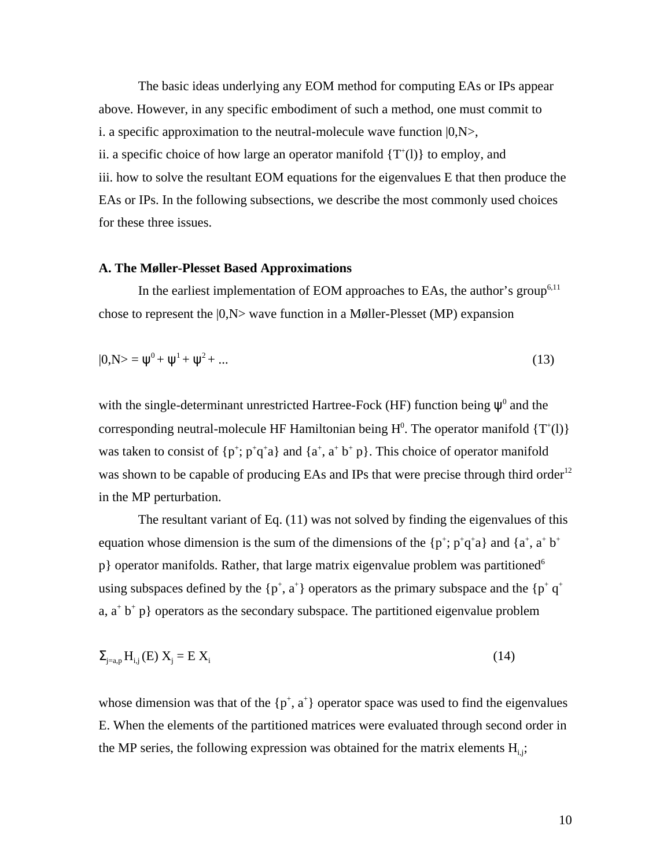The basic ideas underlying any EOM method for computing EAs or IPs appear above. However, in any specific embodiment of such a method, one must commit to i. a specific approximation to the neutral-molecule wave function  $|0, N \rangle$ , ii. a specific choice of how large an operator manifold  $\{T^*(l)\}$  to employ, and iii. how to solve the resultant EOM equations for the eigenvalues E that then produce the EAs or IPs. In the following subsections, we describe the most commonly used choices for these three issues.

### **A. The Møller-Plesset Based Approximations**

In the earliest implementation of EOM approaches to EAs, the author's group<sup>6,11</sup> chose to represent the |0,N> wave function in a Møller-Plesset (MP) expansion

$$
|0,N\rangle = \,^0 + \,^1 + \,^2 + \dots \tag{13}
$$

with the single-determinant unrestricted Hartree-Fock (HF) function being  $\degree$  and the corresponding neutral-molecule HF Hamiltonian being  $H^0$ . The operator manifold  $\{T^+(l)\}$ was taken to consist of  $\{p^{\dagger}; p^{\dagger}q^{\dagger}a\}$  and  $\{a^{\dagger}, a^{\dagger}b^{\dagger}p\}$ . This choice of operator manifold was shown to be capable of producing EAs and IPs that were precise through third order<sup>12</sup> in the MP perturbation.

The resultant variant of Eq. (11) was not solved by finding the eigenvalues of this equation whose dimension is the sum of the dimensions of the  $\{p^{\dagger}; p^{\dagger}q^{\dagger}a\}$  and  $\{a^{\dagger}, a^{\dagger}b^{\dagger}\}$  $p$ } operator manifolds. Rather, that large matrix eigenvalue problem was partitioned<sup>6</sup> using subspaces defined by the  $\{p^+, a^+\}$  operators as the primary subspace and the  $\{p^+q^+\}$ a,  $a^+ b^+ p$  operators as the secondary subspace. The partitioned eigenvalue problem

$$
{}_{j=a,p}H_{i,j}(E) X_j = E X_i
$$
\n(14)

whose dimension was that of the  $\{p^+, a^+\}$  operator space was used to find the eigenvalues E. When the elements of the partitioned matrices were evaluated through second order in the MP series, the following expression was obtained for the matrix elements  $H_{i,j}$ ;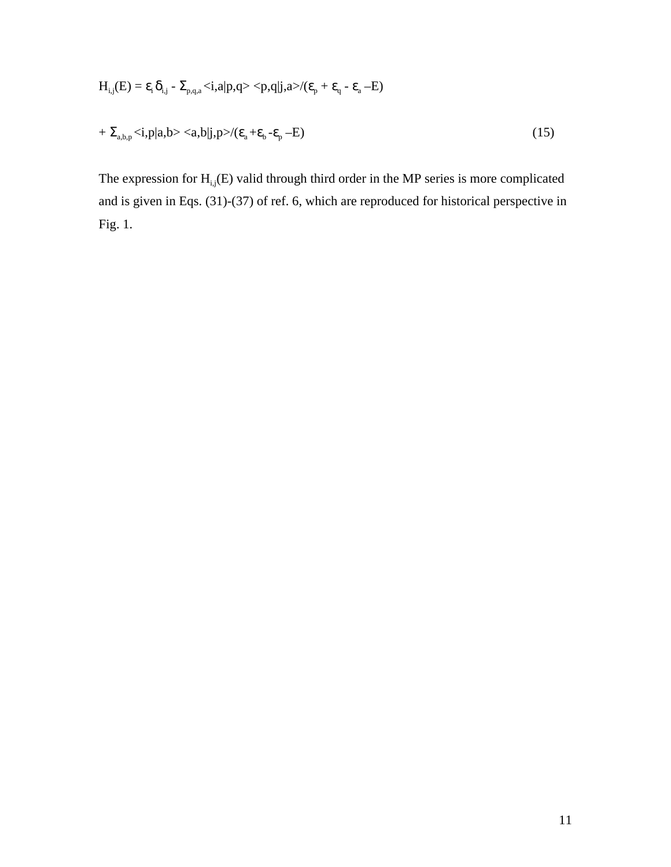$$
H_{i,j}(E) = \n\begin{cases}\n\text{i} & \text{if } j = p, q, a < i, a | p, q > < p, q | j, a > / (p + q - a - E)\n\end{cases}
$$
\n
$$
+ \n\begin{cases}\n\text{ii} & \text{if } p > i, p | a, b > < a, b | j, p > / (p + b - p - E)\n\end{cases}
$$
\n
$$
(15)
$$

The expression for  $H_{i,j}(E)$  valid through third order in the MP series is more complicated and is given in Eqs. (31)-(37) of ref. 6, which are reproduced for historical perspective in Fig. 1.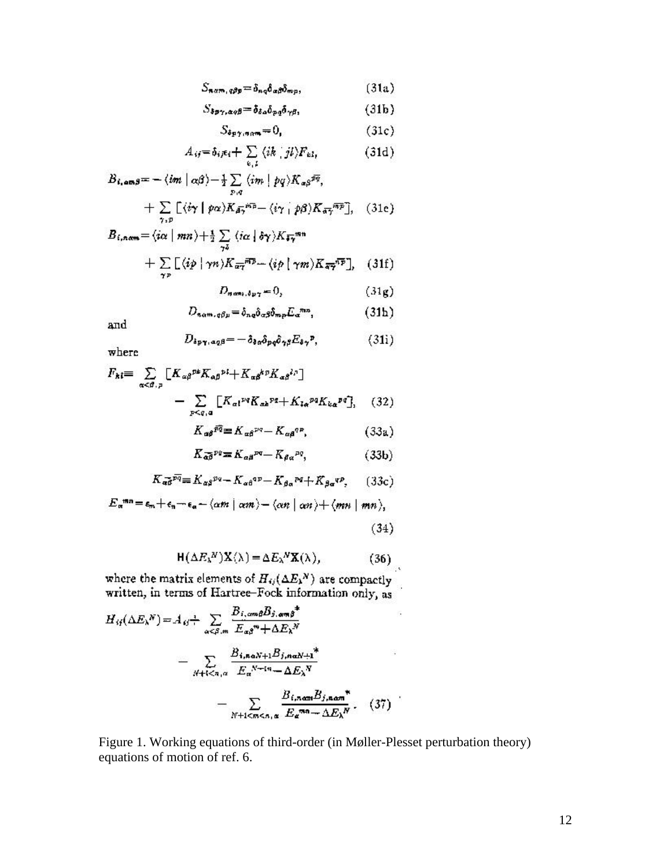$$
S_{n\alpha m, q\beta p} = \delta_{nq} \delta_{\alpha\beta} \delta_{mp}, \qquad (31a)
$$

$$
S_{\delta p\gamma,\alpha q\beta} = \delta_{\delta a} \delta_{p\bar{q}} \delta_{\gamma\beta}, \qquad (31b)
$$

$$
S_{\delta p \gamma, \eta \alpha m} = 0, \qquad (31c)
$$

$$
A_{ij} = \delta_{ij} \epsilon_i + \sum_{k,l} \langle ik \mid jl \rangle F_{kl}, \qquad (31d)
$$

$$
B_{i,\alpha\alpha\beta} = -\langle im \mid \alpha\beta \rangle - \frac{1}{2} \sum_{p,q} \langle im \mid pq \rangle K_{\alpha\beta}^{\beta\overline{q}},
$$
  
+ 
$$
\sum \left[ \langle i\gamma \mid p\alpha \rangle K_{\beta\overline{q}}^{\beta\overline{q}} - \langle i\gamma \mid p\beta \rangle K_{\beta\overline{q}}^{\beta\overline{q}\overline{p}} \right], \quad (31e)
$$

$$
B_{i,n\alpha m} = \langle i\alpha \mid mn \rangle + \frac{1}{2} \sum_{\gamma \bar{\beta}} \langle i\alpha \mid \delta \gamma \rangle K_{\bar{\theta} \gamma}^{mn} + \sum_{\gamma p} \left[ \langle i\dot{p} \mid \gamma n \rangle K_{\bar{\alpha} \gamma}^{m\bar{p}} - \langle i\dot{p} \mid \gamma m \rangle K_{\bar{\alpha} \gamma}^{m\bar{p}} \right], \quad (31f)
$$

$$
D_{new, \delta p \gamma} = 0, \qquad (31g)
$$

$$
D_{n\alpha m,\sigma\beta\mu} = \delta_{n\sigma}\delta_{\alpha\beta}\delta_{m\rho}E_{\alpha}^{m\sigma},\tag{31b}
$$

and

$$
D_{\delta p\gamma,\alpha q\beta} = -\delta_{\delta\alpha}\delta_{pq}\delta_{\gamma\beta}E_{\delta\gamma}P,\qquad(31i)
$$

where

$$
F_{\mathbf{h}} = \sum_{\alpha < \beta, p} \left[ K_{\alpha\beta}^{p\mathbf{h}} K_{\alpha\beta}^{p\mathbf{h}} + K_{\alpha\beta}^{k} {p\mathbf{h}} K_{\alpha\beta}^{l\mathbf{h}} \right]
$$

$$
- \sum_{p < q, q} \left[ K_{\alpha\mathbf{h}}^{pq} K_{\alpha\mathbf{h}}^{pq} + K_{l\alpha}^{pq} K_{k\alpha}^{pq} \right], \quad (32)
$$

$$
K_{\alpha\beta}^{p\overline{q}} = K_{\alpha\beta}^{pq} - K_{\alpha\beta}^{qp}, \quad (33a)
$$

$$
K_{\overline{\alpha}\overline{\beta}}{}^{\rho g} = K_{\alpha\beta}{}^{\rho q} - K_{\beta\alpha}{}^{\rho q},\tag{33b}
$$

$$
K_{\alpha\beta}^{\ \overline{pq}} = K_{\alpha\beta}^{pq} - K_{\alpha\beta}^{qp} - K_{\beta\alpha}^{pq} + K_{\beta\alpha}^{qp}, \qquad (33c)
$$

$$
E_{\alpha}^{mn} = \epsilon_m + \epsilon_n - \epsilon_{\alpha} - \langle \alpha m \mid \alpha m \rangle - \langle \alpha n \mid \alpha n \rangle + \langle m n \mid mn \rangle,
$$

 $(34)$ 

$$
H(\Delta E_{\lambda}^{N})X(\lambda) = \Delta E_{\lambda}^{N}X(\lambda), \qquad (36)
$$

where the matrix elements of  $H_{ij}(\Delta E_k^N)$  are compactly<br>written, in terms of Hartree-Fock information only, as

$$
H_{ij}(\Delta E_{\lambda}^{N}) = A_{ij} + \sum_{\alpha \leq \beta, m} \frac{B_{i, \alpha m \beta} B_{j, \alpha m \beta}^{*}}{E_{\alpha \beta}^{*} + \Delta E_{\lambda}^{N}}
$$

$$
- \sum_{N+1 \leq n, \alpha} \frac{B_{i, n \alpha N+1} B_{j, n \alpha N+1}^{*}}{E_{\alpha}^{N+1} - \Delta E_{\lambda}^{N}}
$$

$$
- \sum_{N+1 \leq m \leq n, \alpha} \frac{B_{i, n \alpha m} B_{j, n \alpha m}^{*}}{E_{\alpha}^{* n} - \Delta E_{\lambda}^{N}}. (37)
$$

Figure 1. Working equations of third-order (in Møller-Plesset perturbation theory) equations of motion of ref. 6.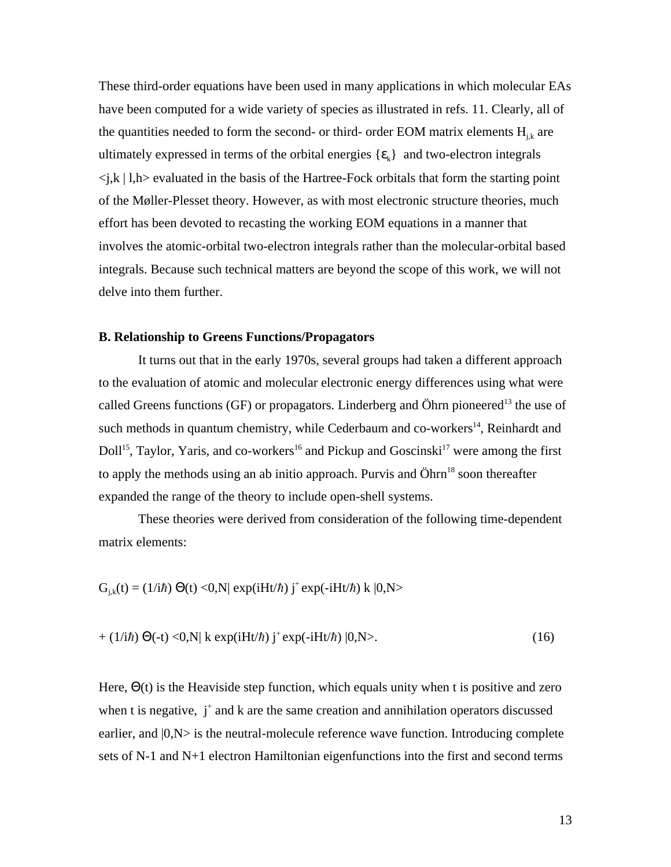These third-order equations have been used in many applications in which molecular EAs have been computed for a wide variety of species as illustrated in refs. 11. Clearly, all of the quantities needed to form the second- or third- order EOM matrix elements  $H_{i,k}$  are ultimately expressed in terms of the orbital energies  $\{k\}$  and two-electron integrals  $\langle i, k \rangle$  l,  $h$  evaluated in the basis of the Hartree-Fock orbitals that form the starting point of the Møller-Plesset theory. However, as with most electronic structure theories, much effort has been devoted to recasting the working EOM equations in a manner that involves the atomic-orbital two-electron integrals rather than the molecular-orbital based integrals. Because such technical matters are beyond the scope of this work, we will not delve into them further.

# **B. Relationship to Greens Functions/Propagators**

It turns out that in the early 1970s, several groups had taken a different approach to the evaluation of atomic and molecular electronic energy differences using what were called Greens functions (GF) or propagators. Linderberg and Öhrn pioneered<sup>13</sup> the use of such methods in quantum chemistry, while Cederbaum and co-workers $14$ , Reinhardt and Doll<sup>15</sup>, Taylor, Yaris, and co-workers<sup>16</sup> and Pickup and Goscinski<sup>17</sup> were among the first to apply the methods using an ab initio approach. Purvis and  $\ddot{\text{O}}$ hrn<sup>18</sup> soon thereafter expanded the range of the theory to include open-shell systems.

These theories were derived from consideration of the following time-dependent matrix elements:

$$
G_{j,k}(t) = (1/i\hbar)
$$
 (t) <0,N| exp(iHt/\hbar) j<sup>+</sup> exp(-iHt/\hbar) k |0,N>

$$
+ (1/i\hbar) \quad (-t) < 0, N| k \exp(iHt/\hbar) j^+ \exp(-iHt/\hbar) |0, N> . \tag{16}
$$

Here, (t) is the Heaviside step function, which equals unity when t is positive and zero when t is negative,  $j^+$  and k are the same creation and annihilation operators discussed earlier, and  $|0, N>$  is the neutral-molecule reference wave function. Introducing complete sets of N-1 and N+1 electron Hamiltonian eigenfunctions into the first and second terms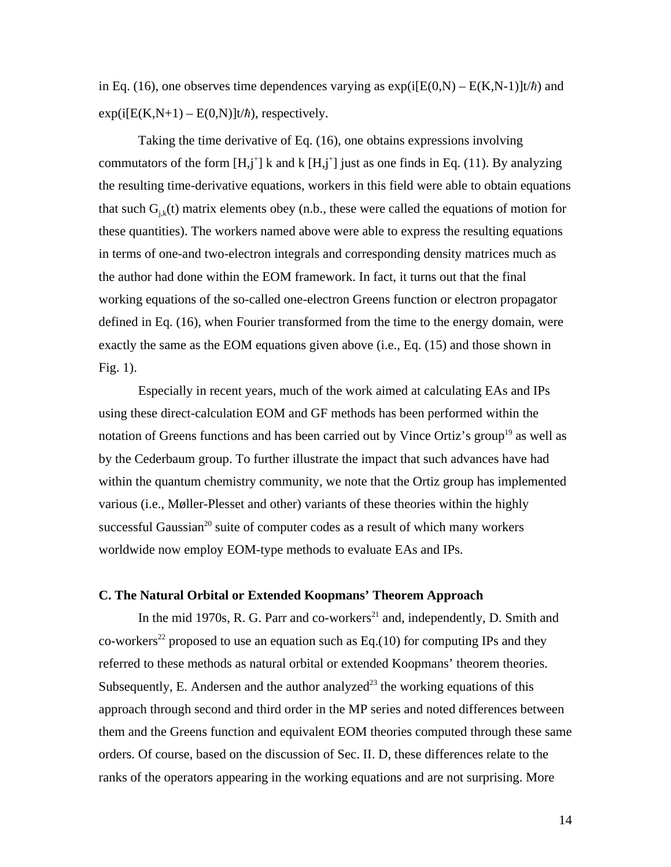in Eq. (16), one observes time dependences varying as  $exp(i[E(0,N) - E(K,N-1)]t/\hbar)$  and  $exp(i[E(K,N+1) - E(0,N)]t/\hbar)$ , respectively.

Taking the time derivative of Eq. (16), one obtains expressions involving commutators of the form  $[H, j^+]$  k and k  $[H, j^+]$  just as one finds in Eq. (11). By analyzing the resulting time-derivative equations, workers in this field were able to obtain equations that such  $G_{ik}(t)$  matrix elements obey (n.b., these were called the equations of motion for these quantities). The workers named above were able to express the resulting equations in terms of one-and two-electron integrals and corresponding density matrices much as the author had done within the EOM framework. In fact, it turns out that the final working equations of the so-called one-electron Greens function or electron propagator defined in Eq. (16), when Fourier transformed from the time to the energy domain, were exactly the same as the EOM equations given above (i.e., Eq. (15) and those shown in Fig. 1).

Especially in recent years, much of the work aimed at calculating EAs and IPs using these direct-calculation EOM and GF methods has been performed within the notation of Greens functions and has been carried out by Vince Ortiz's group<sup>19</sup> as well as by the Cederbaum group. To further illustrate the impact that such advances have had within the quantum chemistry community, we note that the Ortiz group has implemented various (i.e., Møller-Plesset and other) variants of these theories within the highly successful Gaussian<sup>20</sup> suite of computer codes as a result of which many workers worldwide now employ EOM-type methods to evaluate EAs and IPs.

## **C. The Natural Orbital or Extended Koopmans' Theorem Approach**

In the mid 1970s, R. G. Parr and co-workers<sup>21</sup> and, independently, D. Smith and co-workers<sup>22</sup> proposed to use an equation such as Eq.(10) for computing IPs and they referred to these methods as natural orbital or extended Koopmans' theorem theories. Subsequently, E. Andersen and the author analyzed<sup>23</sup> the working equations of this approach through second and third order in the MP series and noted differences between them and the Greens function and equivalent EOM theories computed through these same orders. Of course, based on the discussion of Sec. II. D, these differences relate to the ranks of the operators appearing in the working equations and are not surprising. More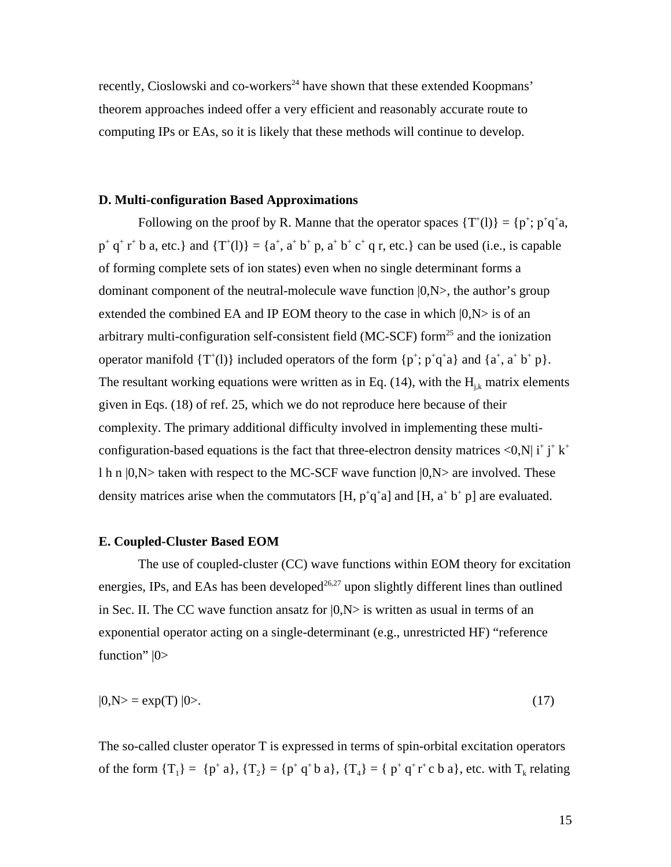recently, Cioslowski and co-workers<sup>24</sup> have shown that these extended Koopmans' theorem approaches indeed offer a very efficient and reasonably accurate route to computing IPs or EAs, so it is likely that these methods will continue to develop.

## **D. Multi-configuration Based Approximations**

Following on the proof by R. Manne that the operator spaces  $\{T^*(l)\} = \{p^+; p^+q^+a,$  $p^+ q^+ r^+ b$  a, etc.} and  $\{T^+(l)\} = \{a^+, a^+ b^+ p, a^+ b^+ c^+ q$  r, etc.} can be used (i.e., is capable of forming complete sets of ion states) even when no single determinant forms a dominant component of the neutral-molecule wave function  $|0, N \rangle$ , the author's group extended the combined EA and IP EOM theory to the case in which  $|0, N>$  is of an arbitrary multi-configuration self-consistent field ( $MC-SCF$ ) form<sup>25</sup> and the ionization operator manifold  $\{T^*(l)\}\$ included operators of the form  $\{p^+; p^+q^+a\}$  and  $\{a^+, a^+b^+p\}.$ The resultant working equations were written as in Eq. (14), with the  $H_{i,k}$  matrix elements given in Eqs. (18) of ref. 25, which we do not reproduce here because of their complexity. The primary additional difficulty involved in implementing these multiconfiguration-based equations is the fact that three-electron density matrices  $\langle 0, N | i^+ j^+ k^+ \rangle$ l h n  $|0,N\rangle$  taken with respect to the MC-SCF wave function  $|0,N\rangle$  are involved. These density matrices arise when the commutators [H,  $p^+q^+a$ ] and [H,  $a^+b^+p$ ] are evaluated.

# **E. Coupled-Cluster Based EOM**

The use of coupled-cluster (CC) wave functions within EOM theory for excitation energies, IPs, and EAs has been developed<sup>26,27</sup> upon slightly different lines than outlined in Sec. II. The CC wave function ansatz for  $|0, N>$  is written as usual in terms of an exponential operator acting on a single-determinant (e.g., unrestricted HF) "reference function"  $|0\rangle$ 

$$
|0, N\rangle = \exp(T) |0\rangle. \tag{17}
$$

The so-called cluster operator T is expressed in terms of spin-orbital excitation operators of the form  $\{T_1\} = \{p^+a\}$ ,  $\{T_2\} = \{p^+q^+b\ a\}$ ,  $\{T_4\} = \{p^+q^+r^+c\ b\ a\}$ , etc. with  $T_k$  relating

15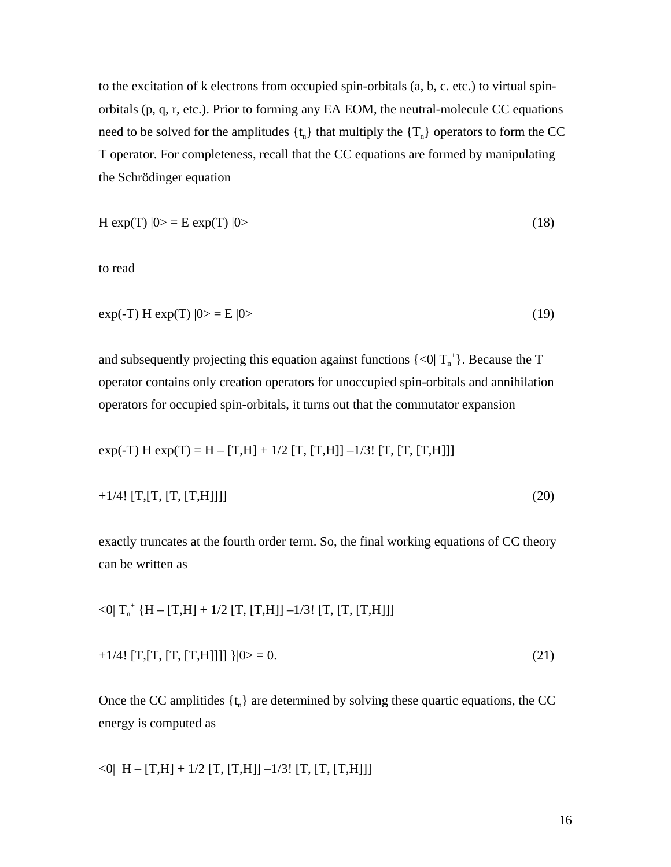to the excitation of k electrons from occupied spin-orbitals (a, b, c. etc.) to virtual spinorbitals (p, q, r, etc.). Prior to forming any EA EOM, the neutral-molecule CC equations need to be solved for the amplitudes  $\{t_n\}$  that multiply the  $\{T_n\}$  operators to form the CC T operator. For completeness, recall that the CC equations are formed by manipulating the Schrödinger equation

$$
H \exp(T) |0\rangle = E \exp(T) |0\rangle \tag{18}
$$

to read

$$
\exp(-T) H \exp(T) |0\rangle = E |0\rangle \tag{19}
$$

and subsequently projecting this equation against functions  $\{\langle 0|T_{n}^{+}\}\)$ . Because the T operator contains only creation operators for unoccupied spin-orbitals and annihilation operators for occupied spin-orbitals, it turns out that the commutator expansion

 $exp(-T) H exp(T) = H - [T,H] + 1/2 [T, [T,H]] - 1/3! [T, [T, [T,H]]]$ 

$$
+1/4!\,[T,[T,[T,[T,H]]]]\tag{20}
$$

exactly truncates at the fourth order term. So, the final working equations of CC theory can be written as

$$
<0|\ T_n^+\left\{H - [T,H] + 1/2\ [T,\,[T,H]] - 1/3!\ [T,\,[T,\,[T,H]]]\right\}
$$

$$
+1/4!\,[T,[T,[T,[T,H]]]]\,|0\rangle = 0.\tag{21}
$$

Once the CC amplitides  $\{t_n\}$  are determined by solving these quartic equations, the CC energy is computed as

$$
\langle 0| H - [T,H] + 1/2 [T, [T,H]] - 1/3! [T, [T, [T,H]]]
$$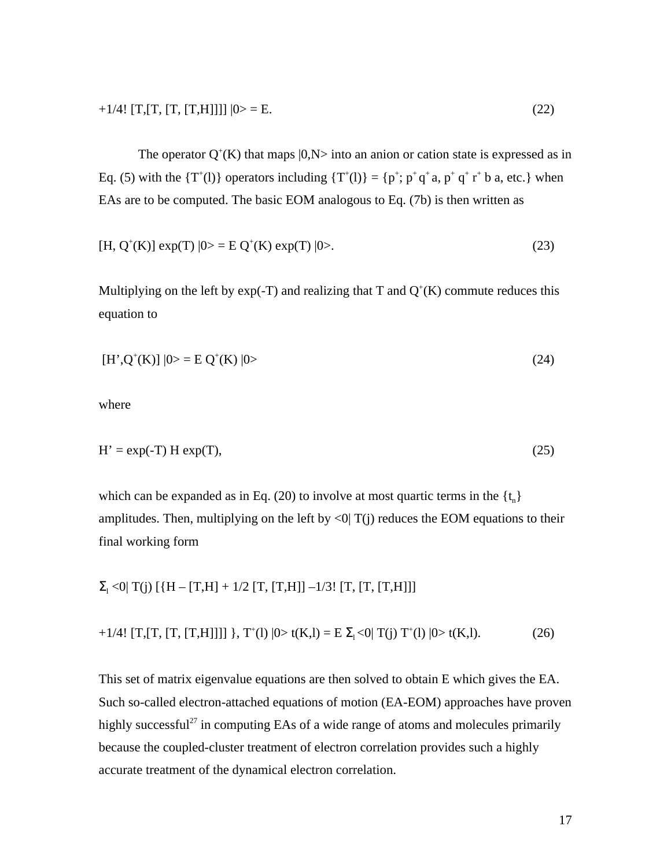$$
+1/4!\left[T, \left[T, \left[T, \left[T, H\right]\right]\right]\right]|0> = E.
$$
\n(22)

The operator  $Q^+(K)$  that maps  $|0, N>$  into an anion or cation state is expressed as in Eq. (5) with the  $\{T^+(l)\}$  operators including  $\{T^+(l)\} = \{p^+; p^+q^+a, p^+q^+r^+b a, \text{etc.}\}$  when EAs are to be computed. The basic EOM analogous to Eq. (7b) is then written as

$$
[H, Q^{+}(K)] \exp(T) |0\rangle = E Q^{+}(K) \exp(T) |0\rangle. \tag{23}
$$

Multiplying on the left by  $exp(-T)$  and realizing that T and  $Q^+(K)$  commute reduces this equation to

$$
[H', Q^+(K)] |0\rangle = E Q^+(K) |0\rangle
$$
\n(24)

where

$$
H' = exp(-T) H exp(T),
$$
\n(25)

which can be expanded as in Eq. (20) to involve at most quartic terms in the  $\{t_n\}$ amplitudes. Then, multiplying on the left by  $\langle 0|T(i)$  reduces the EOM equations to their final working form

 $_{1}$  <0| T(j) [{H – [T,H] + 1/2 [T, [T,H]] –1/3! [T, [T, [T,H]]]

$$
+1/4!\left[T, \left[T, \left[T, \left[T, H\right]\right]\right]\right] \right\}, T^{+}(1) \left|0>t(K, l) = E_{-1} < 0 \right| T(j) T^{+}(l) \left|0>t(K, l). \right.\n \tag{26}
$$

This set of matrix eigenvalue equations are then solved to obtain E which gives the EA. Such so-called electron-attached equations of motion (EA-EOM) approaches have proven highly successful<sup>27</sup> in computing EAs of a wide range of atoms and molecules primarily because the coupled-cluster treatment of electron correlation provides such a highly accurate treatment of the dynamical electron correlation.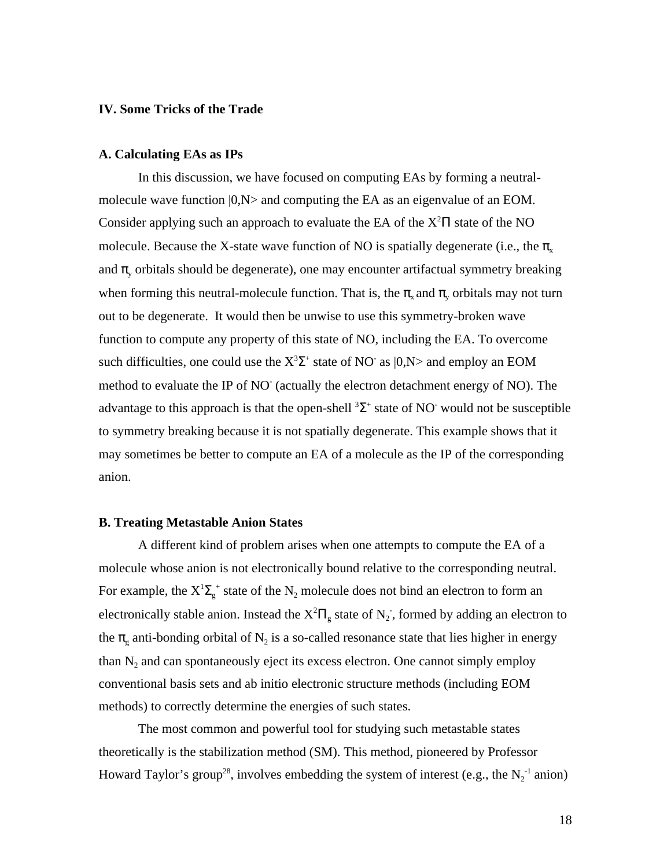# **IV. Some Tricks of the Trade**

### **A. Calculating EAs as IPs**

In this discussion, we have focused on computing EAs by forming a neutralmolecule wave function  $|0, N\rangle$  and computing the EA as an eigenvalue of an EOM. Consider applying such an approach to evaluate the EA of the  $X^2$  state of the NO molecule. Because the X-state wave function of NO is spatially degenerate (i.e., the  $\bar{x}$ and y orbitals should be degenerate), one may encounter artifactual symmetry breaking when forming this neutral-molecule function. That is, the  $\chi$  and  $\chi$  orbitals may not turn out to be degenerate. It would then be unwise to use this symmetry-broken wave function to compute any property of this state of NO, including the EA. To overcome such difficulties, one could use the  $X^3$  <sup>+</sup> state of NO<sup>-</sup> as  $|0, N>$  and employ an EOM method to evaluate the IP of NO (actually the electron detachment energy of NO). The advantage to this approach is that the open-shell  $3 +$  state of NO would not be susceptible to symmetry breaking because it is not spatially degenerate. This example shows that it may sometimes be better to compute an EA of a molecule as the IP of the corresponding anion.

#### **B. Treating Metastable Anion States**

A different kind of problem arises when one attempts to compute the EA of a molecule whose anion is not electronically bound relative to the corresponding neutral. For example, the X<sup>1</sup>  $\frac{1}{g}$  state of the N<sub>2</sub> molecule does not bind an electron to form an electronically stable anion. Instead the  $X^2$  state of  $N_2$ , formed by adding an electron to the  $\epsilon_{\rm g}$  anti-bonding orbital of N<sub>2</sub> is a so-called resonance state that lies higher in energy than  $N_2$  and can spontaneously eject its excess electron. One cannot simply employ conventional basis sets and ab initio electronic structure methods (including EOM methods) to correctly determine the energies of such states.

The most common and powerful tool for studying such metastable states theoretically is the stabilization method (SM). This method, pioneered by Professor Howard Taylor's group<sup>28</sup>, involves embedding the system of interest (e.g., the  $N_2^{-1}$  anion)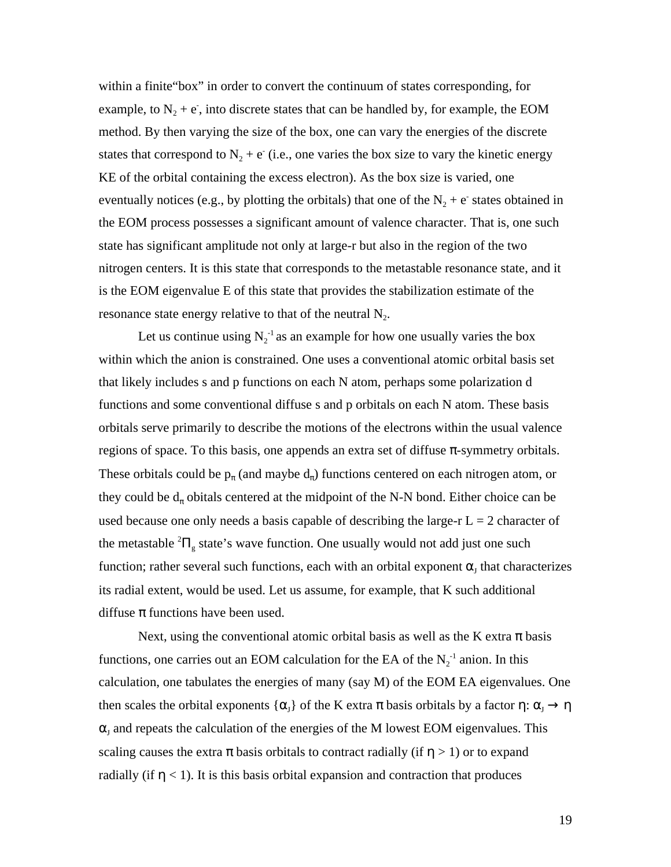within a finite"box" in order to convert the continuum of states corresponding, for example, to  $N_2 + e$ , into discrete states that can be handled by, for example, the EOM method. By then varying the size of the box, one can vary the energies of the discrete states that correspond to  $N_2 + e^-$  (i.e., one varies the box size to vary the kinetic energy KE of the orbital containing the excess electron). As the box size is varied, one eventually notices (e.g., by plotting the orbitals) that one of the  $N_2 + e^-$  states obtained in the EOM process possesses a significant amount of valence character. That is, one such state has significant amplitude not only at large-r but also in the region of the two nitrogen centers. It is this state that corresponds to the metastable resonance state, and it is the EOM eigenvalue E of this state that provides the stabilization estimate of the resonance state energy relative to that of the neutral  $N_2$ .

Let us continue using  $N_2^{-1}$  as an example for how one usually varies the box within which the anion is constrained. One uses a conventional atomic orbital basis set that likely includes s and p functions on each N atom, perhaps some polarization d functions and some conventional diffuse s and p orbitals on each N atom. These basis orbitals serve primarily to describe the motions of the electrons within the usual valence regions of space. To this basis, one appends an extra set of diffuse -symmetry orbitals. These orbitals could be p (and maybe d ) functions centered on each nitrogen atom, or they could be d obitals centered at the midpoint of the N-N bond. Either choice can be used because one only needs a basis capable of describing the large-r  $L = 2$  character of the metastable  $2\frac{1}{g}$  state's wave function. One usually would not add just one such function; rather several such functions, each with an orbital exponent  $_J$  that characterizes its radial extent, would be used. Let us assume, for example, that K such additional diffuse functions have been used.

Next, using the conventional atomic orbital basis as well as the K extra basis functions, one carries out an EOM calculation for the EA of the  $N_2$ <sup>-1</sup> anion. In this calculation, one tabulates the energies of many (say M) of the EOM EA eigenvalues. One then scales the orbital exponents  $\{-_j\}$  of the K extra basis orbitals by a factor :  $\top$  $_{J}$  and repeats the calculation of the energies of the M lowest EOM eigenvalues. This

scaling causes the extra basis orbitals to contract radially (if  $> 1$ ) or to expand radially (if  $\langle 1 \rangle$ ). It is this basis orbital expansion and contraction that produces

19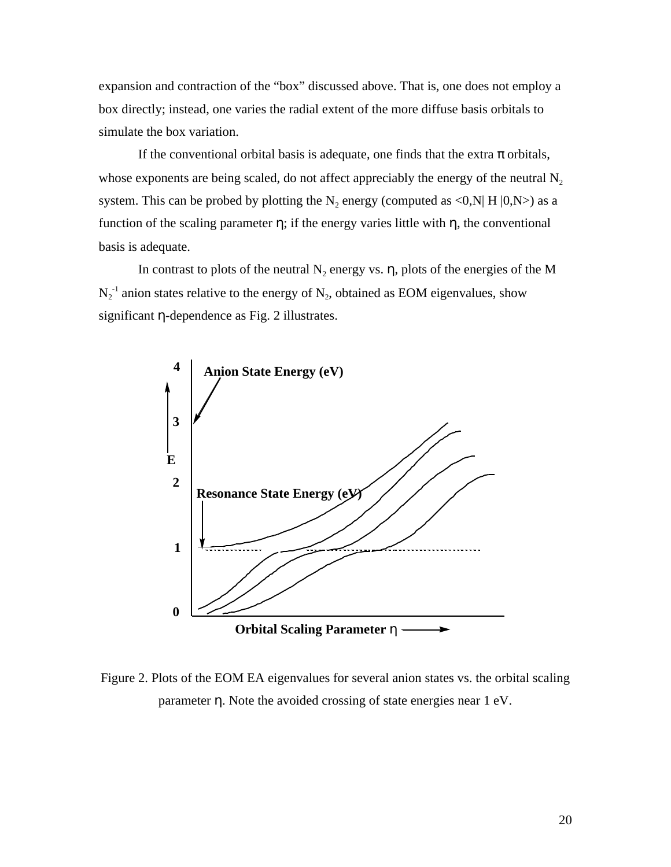expansion and contraction of the "box" discussed above. That is, one does not employ a box directly; instead, one varies the radial extent of the more diffuse basis orbitals to simulate the box variation.

If the conventional orbital basis is adequate, one finds that the extra orbitals, whose exponents are being scaled, do not affect appreciably the energy of the neutral  $N<sub>2</sub>$ system. This can be probed by plotting the  $N_2$  energy (computed as <0,N| H |0,N>) as a function of the scaling parameter; if the energy varies little with, the conventional basis is adequate.

In contrast to plots of the neutral  $N_2$  energy vs. , plots of the energies of the M  $N_2^{-1}$  anion states relative to the energy of  $N_2$ , obtained as EOM eigenvalues, show significant -dependence as Fig. 2 illustrates.



Figure 2. Plots of the EOM EA eigenvalues for several anion states vs. the orbital scaling parameter . Note the avoided crossing of state energies near 1 eV.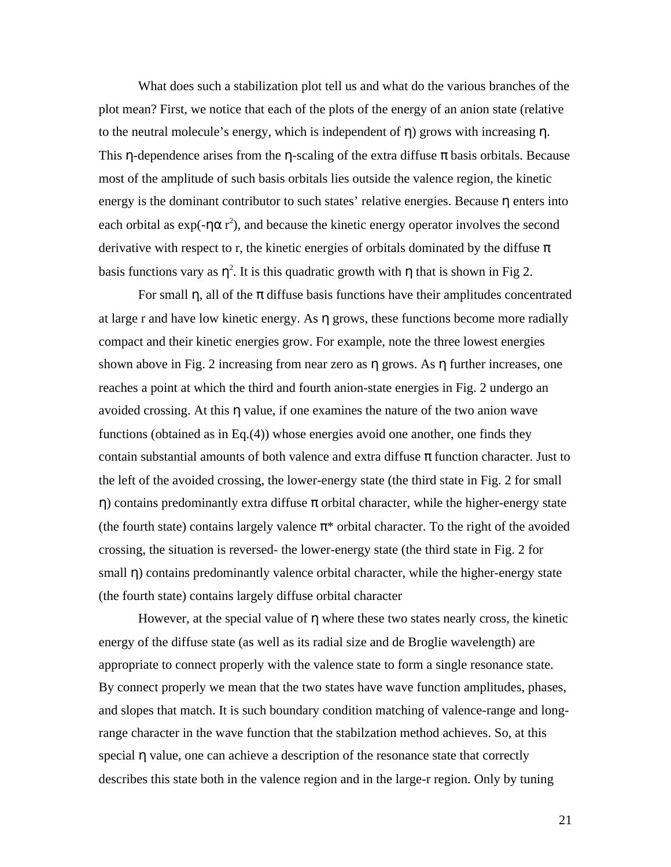What does such a stabilization plot tell us and what do the various branches of the plot mean? First, we notice that each of the plots of the energy of an anion state (relative to the neutral molecule's energy, which is independent of ) grows with increasing . This -dependence arises from the -scaling of the extra diffuse basis orbitals. Because most of the amplitude of such basis orbitals lies outside the valence region, the kinetic energy is the dominant contributor to such states' relative energies. Because enters into each orbital as  $exp(-r^2)$ , and because the kinetic energy operator involves the second derivative with respect to r, the kinetic energies of orbitals dominated by the diffuse basis functions vary as  $\lambda^2$ . It is this quadratic growth with that is shown in Fig 2.

For small , all of the diffuse basis functions have their amplitudes concentrated at large r and have low kinetic energy. As grows, these functions become more radially compact and their kinetic energies grow. For example, note the three lowest energies shown above in Fig. 2 increasing from near zero as grows. As further increases, one reaches a point at which the third and fourth anion-state energies in Fig. 2 undergo an avoided crossing. At this value, if one examines the nature of the two anion wave functions (obtained as in Eq.(4)) whose energies avoid one another, one finds they contain substantial amounts of both valence and extra diffuse function character. Just to the left of the avoided crossing, the lower-energy state (the third state in Fig. 2 for small ) contains predominantly extra diffuse orbital character, while the higher-energy state (the fourth state) contains largely valence \* orbital character. To the right of the avoided crossing, the situation is reversed- the lower-energy state (the third state in Fig. 2 for small ) contains predominantly valence orbital character, while the higher-energy state (the fourth state) contains largely diffuse orbital character

However, at the special value of where these two states nearly cross, the kinetic energy of the diffuse state (as well as its radial size and de Broglie wavelength) are appropriate to connect properly with the valence state to form a single resonance state. By connect properly we mean that the two states have wave function amplitudes, phases, and slopes that match. It is such boundary condition matching of valence-range and longrange character in the wave function that the stabilzation method achieves. So, at this special value, one can achieve a description of the resonance state that correctly describes this state both in the valence region and in the large-r region. Only by tuning

21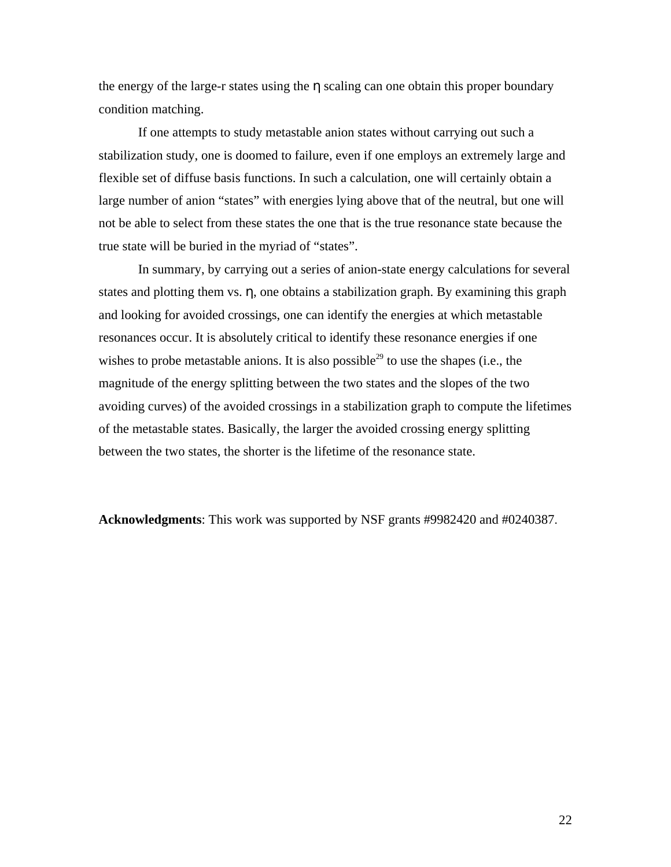the energy of the large-r states using the scaling can one obtain this proper boundary condition matching.

If one attempts to study metastable anion states without carrying out such a stabilization study, one is doomed to failure, even if one employs an extremely large and flexible set of diffuse basis functions. In such a calculation, one will certainly obtain a large number of anion "states" with energies lying above that of the neutral, but one will not be able to select from these states the one that is the true resonance state because the true state will be buried in the myriad of "states".

In summary, by carrying out a series of anion-state energy calculations for several states and plotting them vs. , one obtains a stabilization graph. By examining this graph and looking for avoided crossings, one can identify the energies at which metastable resonances occur. It is absolutely critical to identify these resonance energies if one wishes to probe metastable anions. It is also possible<sup>29</sup> to use the shapes (i.e., the magnitude of the energy splitting between the two states and the slopes of the two avoiding curves) of the avoided crossings in a stabilization graph to compute the lifetimes of the metastable states. Basically, the larger the avoided crossing energy splitting between the two states, the shorter is the lifetime of the resonance state.

**Acknowledgments**: This work was supported by NSF grants #9982420 and #0240387.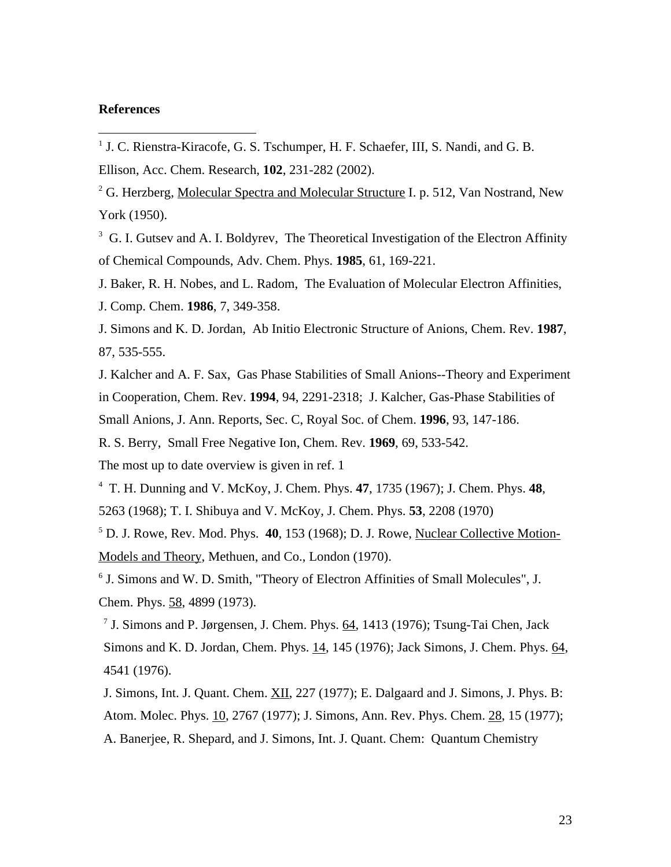## **References**

 $\overline{a}$ 

J. Kalcher and A. F. Sax, Gas Phase Stabilities of Small Anions--Theory and Experiment in Cooperation, Chem. Rev. **1994**, 94, 2291-2318; J. Kalcher, Gas-Phase Stabilities of Small Anions, J. Ann. Reports, Sec. C, Royal Soc. of Chem. **1996**, 93, 147-186.

R. S. Berry, Small Free Negative Ion, Chem. Rev. **1969**, 69, 533-542.

The most up to date overview is given in ref. 1

4 T. H. Dunning and V. McKoy, J. Chem. Phys. **47**, 1735 (1967); J. Chem. Phys. **48**,

5263 (1968); T. I. Shibuya and V. McKoy, J. Chem. Phys. **53**, 2208 (1970)

5 D. J. Rowe, Rev. Mod. Phys. **40**, 153 (1968); D. J. Rowe, Nuclear Collective Motion-Models and Theory, Methuen, and Co., London (1970).

6 J. Simons and W. D. Smith, "Theory of Electron Affinities of Small Molecules", J. Chem. Phys. 58, 4899 (1973).

<sup>7</sup> J. Simons and P. Jørgensen, J. Chem. Phys. 64, 1413 (1976); Tsung-Tai Chen, Jack Simons and K. D. Jordan, Chem. Phys. 14, 145 (1976); Jack Simons, J. Chem. Phys. 64, 4541 (1976).

J. Simons, Int. J. Quant. Chem. XII, 227 (1977); E. Dalgaard and J. Simons, J. Phys. B: Atom. Molec. Phys. 10, 2767 (1977); J. Simons, Ann. Rev. Phys. Chem. 28, 15 (1977); A. Banerjee, R. Shepard, and J. Simons, Int. J. Quant. Chem: Quantum Chemistry

<sup>&</sup>lt;sup>1</sup> J. C. Rienstra-Kiracofe, G. S. Tschumper, H. F. Schaefer, III, S. Nandi, and G. B.

Ellison, Acc. Chem. Research, **102**, 231-282 (2002).

<sup>&</sup>lt;sup>2</sup> G. Herzberg, Molecular Spectra and Molecular Structure I. p. 512, Van Nostrand, New York (1950).

<sup>&</sup>lt;sup>3</sup> G. I. Gutsev and A. I. Boldyrev, The Theoretical Investigation of the Electron Affinity of Chemical Compounds, Adv. Chem. Phys. **1985**, 61, 169-221.

J. Baker, R. H. Nobes, and L. Radom, The Evaluation of Molecular Electron Affinities, J. Comp. Chem. **1986**, 7, 349-358.

J. Simons and K. D. Jordan, Ab Initio Electronic Structure of Anions, Chem. Rev. **1987**, 87, 535-555.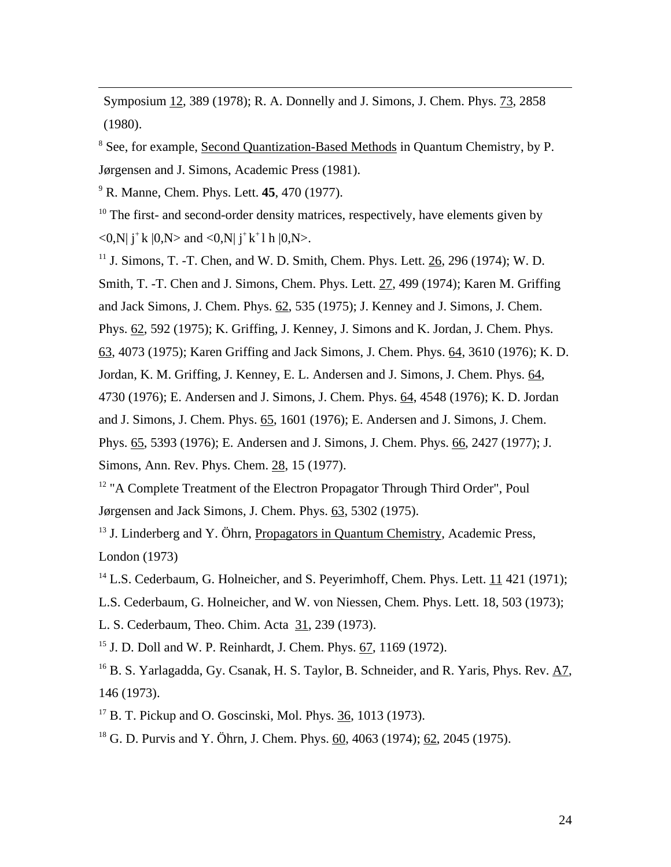Symposium 12, 389 (1978); R. A. Donnelly and J. Simons, J. Chem. Phys. 73, 2858 (1980).

<sup>8</sup> See, for example, Second Quantization-Based Methods in Quantum Chemistry, by P. Jørgensen and J. Simons, Academic Press (1981).

9 R. Manne, Chem. Phys. Lett. **45**, 470 (1977).

 $\overline{a}$ 

 $10$  The first- and second-order density matrices, respectively, have elements given by  $\langle 0, N | j^+ k | 0, N \rangle$  and  $\langle 0, N | j^+ k^+ 1 h | 0, N \rangle$ .

<sup>11</sup> J. Simons, T. -T. Chen, and W. D. Smith, Chem. Phys. Lett. 26, 296 (1974); W. D. Smith, T. -T. Chen and J. Simons, Chem. Phys. Lett. 27, 499 (1974); Karen M. Griffing and Jack Simons, J. Chem. Phys.  $62$ , 535 (1975); J. Kenney and J. Simons, J. Chem. Phys. 62, 592 (1975); K. Griffing, J. Kenney, J. Simons and K. Jordan, J. Chem. Phys. 63, 4073 (1975); Karen Griffing and Jack Simons, J. Chem. Phys. 64, 3610 (1976); K. D. Jordan, K. M. Griffing, J. Kenney, E. L. Andersen and J. Simons, J. Chem. Phys. 64, 4730 (1976); E. Andersen and J. Simons, J. Chem. Phys. 64, 4548 (1976); K. D. Jordan and J. Simons, J. Chem. Phys. 65, 1601 (1976); E. Andersen and J. Simons, J. Chem. Phys. 65, 5393 (1976); E. Andersen and J. Simons, J. Chem. Phys. 66, 2427 (1977); J. Simons, Ann. Rev. Phys. Chem. 28, 15 (1977).

<sup>12</sup> "A Complete Treatment of the Electron Propagator Through Third Order", Poul Jørgensen and Jack Simons, J. Chem. Phys. 63, 5302 (1975).

 $13$  J. Linderberg and Y. Öhrn, Propagators in Quantum Chemistry, Academic Press, London (1973)

<sup>14</sup> L.S. Cederbaum, G. Holneicher, and S. Peyerimhoff, Chem. Phys. Lett. 11 421 (1971);

L.S. Cederbaum, G. Holneicher, and W. von Niessen, Chem. Phys. Lett. 18, 503 (1973);

L. S. Cederbaum, Theo. Chim. Acta 31, 239 (1973).

<sup>15</sup> J. D. Doll and W. P. Reinhardt, J. Chem. Phys. 67, 1169 (1972).

<sup>16</sup> B. S. Yarlagadda, Gy. Csanak, H. S. Taylor, B. Schneider, and R. Yaris, Phys. Rev. A7, 146 (1973).

 $17$  B. T. Pickup and O. Goscinski, Mol. Phys. 36, 1013 (1973).

18 G. D. Purvis and Y. Öhrn, J. Chem. Phys. 60, 4063 (1974); 62, 2045 (1975).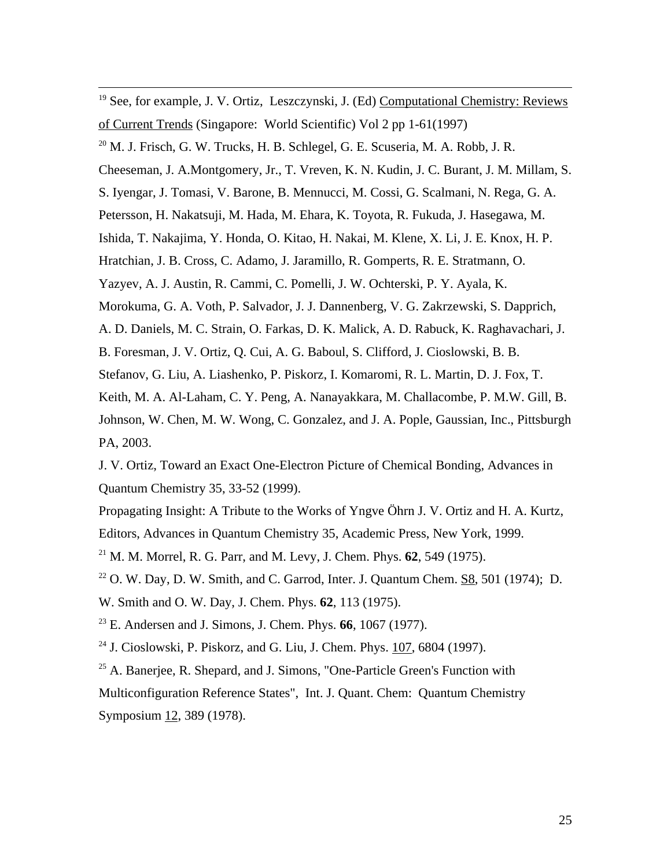<sup>19</sup> See, for example, J. V. Ortiz, Leszczynski, J. (Ed) Computational Chemistry: Reviews of Current Trends (Singapore: World Scientific) Vol 2 pp 1-61(1997)

 $^{20}$  M. J. Frisch, G. W. Trucks, H. B. Schlegel, G. E. Scuseria, M. A. Robb, J. R.

 $\overline{a}$ 

Cheeseman, J. A.Montgomery, Jr., T. Vreven, K. N. Kudin, J. C. Burant, J. M. Millam, S.

S. Iyengar, J. Tomasi, V. Barone, B. Mennucci, M. Cossi, G. Scalmani, N. Rega, G. A.

Petersson, H. Nakatsuji, M. Hada, M. Ehara, K. Toyota, R. Fukuda, J. Hasegawa, M.

Ishida, T. Nakajima, Y. Honda, O. Kitao, H. Nakai, M. Klene, X. Li, J. E. Knox, H. P.

Hratchian, J. B. Cross, C. Adamo, J. Jaramillo, R. Gomperts, R. E. Stratmann, O.

Yazyev, A. J. Austin, R. Cammi, C. Pomelli, J. W. Ochterski, P. Y. Ayala, K.

Morokuma, G. A. Voth, P. Salvador, J. J. Dannenberg, V. G. Zakrzewski, S. Dapprich,

A. D. Daniels, M. C. Strain, O. Farkas, D. K. Malick, A. D. Rabuck, K. Raghavachari, J.

B. Foresman, J. V. Ortiz, Q. Cui, A. G. Baboul, S. Clifford, J. Cioslowski, B. B.

Stefanov, G. Liu, A. Liashenko, P. Piskorz, I. Komaromi, R. L. Martin, D. J. Fox, T.

Keith, M. A. Al-Laham, C. Y. Peng, A. Nanayakkara, M. Challacombe, P. M.W. Gill, B.

Johnson, W. Chen, M. W. Wong, C. Gonzalez, and J. A. Pople, Gaussian, Inc., Pittsburgh PA, 2003.

J. V. Ortiz, Toward an Exact One-Electron Picture of Chemical Bonding, Advances in Quantum Chemistry 35, 33-52 (1999).

Propagating Insight: A Tribute to the Works of Yngve Öhrn J. V. Ortiz and H. A. Kurtz, Editors, Advances in Quantum Chemistry 35, Academic Press, New York, 1999.

<sup>21</sup> M. M. Morrel, R. G. Parr, and M. Levy, J. Chem. Phys. **62**, 549 (1975).

 $22$  O. W. Day, D. W. Smith, and C. Garrod, Inter. J. Quantum Chem. S8, 501 (1974); D.

W. Smith and O. W. Day, J. Chem. Phys. **62**, 113 (1975).

<sup>23</sup> E. Andersen and J. Simons, J. Chem. Phys. **66**, 1067 (1977).

<sup>24</sup> J. Cioslowski, P. Piskorz, and G. Liu, J. Chem. Phys. 107, 6804 (1997).

 $25$  A. Banerjee, R. Shepard, and J. Simons, "One-Particle Green's Function with Multiconfiguration Reference States", Int. J. Quant. Chem: Quantum Chemistry Symposium 12, 389 (1978).